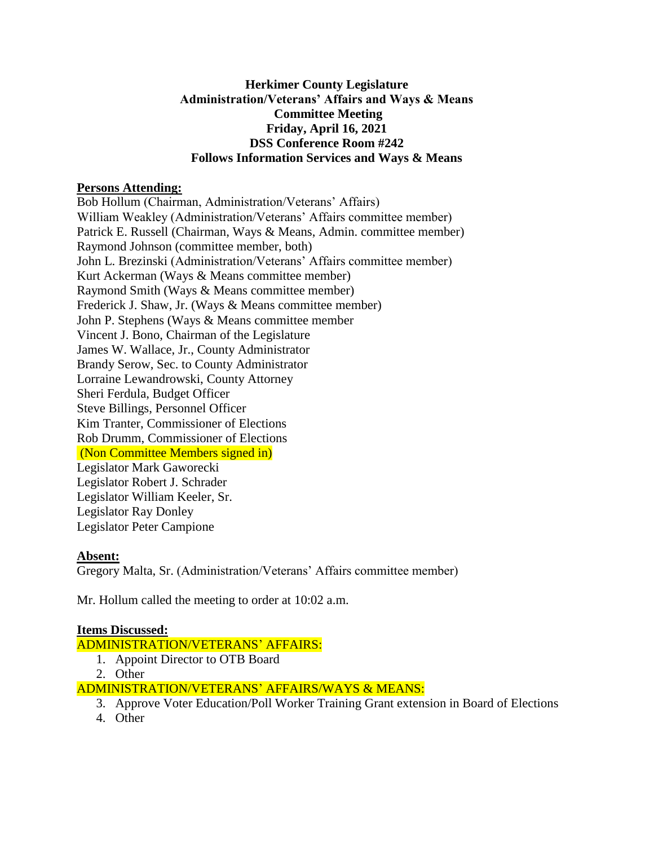## **Herkimer County Legislature Administration/Veterans' Affairs and Ways & Means Committee Meeting Friday, April 16, 2021 DSS Conference Room #242 Follows Information Services and Ways & Means**

## **Persons Attending:**

Bob Hollum (Chairman, Administration/Veterans' Affairs) William Weakley (Administration/Veterans' Affairs committee member) Patrick E. Russell (Chairman, Ways & Means, Admin. committee member) Raymond Johnson (committee member, both) John L. Brezinski (Administration/Veterans' Affairs committee member) Kurt Ackerman (Ways & Means committee member) Raymond Smith (Ways & Means committee member) Frederick J. Shaw, Jr. (Ways & Means committee member) John P. Stephens (Ways & Means committee member Vincent J. Bono, Chairman of the Legislature James W. Wallace, Jr., County Administrator Brandy Serow, Sec. to County Administrator Lorraine Lewandrowski, County Attorney Sheri Ferdula, Budget Officer Steve Billings, Personnel Officer Kim Tranter, Commissioner of Elections Rob Drumm, Commissioner of Elections (Non Committee Members signed in) Legislator Mark Gaworecki Legislator Robert J. Schrader Legislator William Keeler, Sr. Legislator Ray Donley Legislator Peter Campione

#### **Absent:**

Gregory Malta, Sr. (Administration/Veterans' Affairs committee member)

Mr. Hollum called the meeting to order at 10:02 a.m.

#### **Items Discussed:**

ADMINISTRATION/VETERANS' AFFAIRS:

- 1. Appoint Director to OTB Board
- 2. Other

ADMINISTRATION/VETERANS' AFFAIRS/WAYS & MEANS:

- 3. Approve Voter Education/Poll Worker Training Grant extension in Board of Elections
- 4. Other